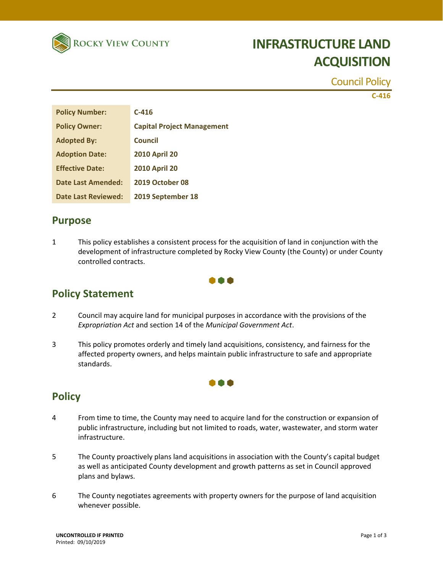

# **INFRASTRUCTURE LAND ACQUISITION**

Council Policy

**C‐416**

| <b>Policy Number:</b>     | $C-416$                           |
|---------------------------|-----------------------------------|
| <b>Policy Owner:</b>      | <b>Capital Project Management</b> |
| <b>Adopted By:</b>        | Council                           |
| <b>Adoption Date:</b>     | <b>2010 April 20</b>              |
| <b>Effective Date:</b>    | <b>2010 April 20</b>              |
| <b>Date Last Amended:</b> | 2019 October 08                   |
| Date Last Reviewed:       | 2019 September 18                 |

#### **Purpose**

1 This policy establishes a consistent process for the acquisition of land in conjunction with the development of infrastructure completed by Rocky View County (the County) or under County controlled contracts.



### **Policy Statement**

- 2 Council may acquire land for municipal purposes in accordance with the provisions of the *Expropriation Act* and section 14 of the *Municipal Government Act*.
- 3 This policy promotes orderly and timely land acquisitions, consistency, and fairness for the affected property owners, and helps maintain public infrastructure to safe and appropriate standards.

#### 000

### **Policy**

- 4 From time to time, the County may need to acquire land for the construction or expansion of public infrastructure, including but not limited to roads, water, wastewater, and storm water infrastructure.
- 5 The County proactively plans land acquisitions in association with the County's capital budget as well as anticipated County development and growth patterns as set in Council approved plans and bylaws.
- 6 The County negotiates agreements with property owners for the purpose of land acquisition whenever possible.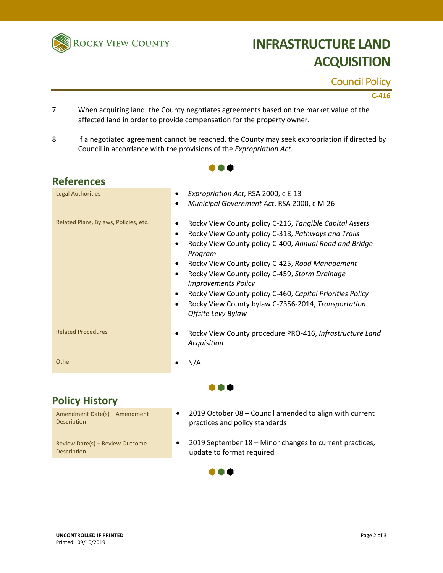

# **INFRASTRUCTURE LAND ACQUISITION**

Council Policy

**C‐416**

- 7 When acquiring land, the County negotiates agreements based on the market value of the affected land in order to provide compensation for the property owner.
- 8 If a negotiated agreement cannot be reached, the County may seek expropriation if directed by Council in accordance with the provisions of the *Expropriation Act*.

...

| <b>References</b>                     |                                                                                           |  |
|---------------------------------------|-------------------------------------------------------------------------------------------|--|
| <b>Legal Authorities</b>              | Expropriation Act, RSA 2000, c E-13<br>٠                                                  |  |
|                                       | Municipal Government Act, RSA 2000, c M-26<br>$\bullet$                                   |  |
| Related Plans, Bylaws, Policies, etc. | Rocky View County policy C-216, Tangible Capital Assets                                   |  |
|                                       | Rocky View County policy C-318, Pathways and Trails<br>$\bullet$                          |  |
|                                       | Rocky View County policy C-400, Annual Road and Bridge<br>$\bullet$<br>Program            |  |
|                                       | Rocky View County policy C-425, Road Management<br>٠                                      |  |
|                                       | Rocky View County policy C-459, Storm Drainage<br>$\bullet$<br><b>Improvements Policy</b> |  |
|                                       | Rocky View County policy C-460, Capital Priorities Policy<br>٠                            |  |
|                                       | Rocky View County bylaw C-7356-2014, Transportation<br>$\bullet$<br>Offsite Levy Bylaw    |  |
| <b>Related Procedures</b>             | Rocky View County procedure PRO-416, Infrastructure Land<br>Acquisition                   |  |
| Other                                 | N/A                                                                                       |  |
|                                       |                                                                                           |  |

### **Policy History**

Amendment Date(s) – Amendment Description

Review Date(s) – Review Outcome Description

- 2019 October 08 Council amended to align with current practices and policy standards
- 2019 September 18 Minor changes to current practices, update to format required